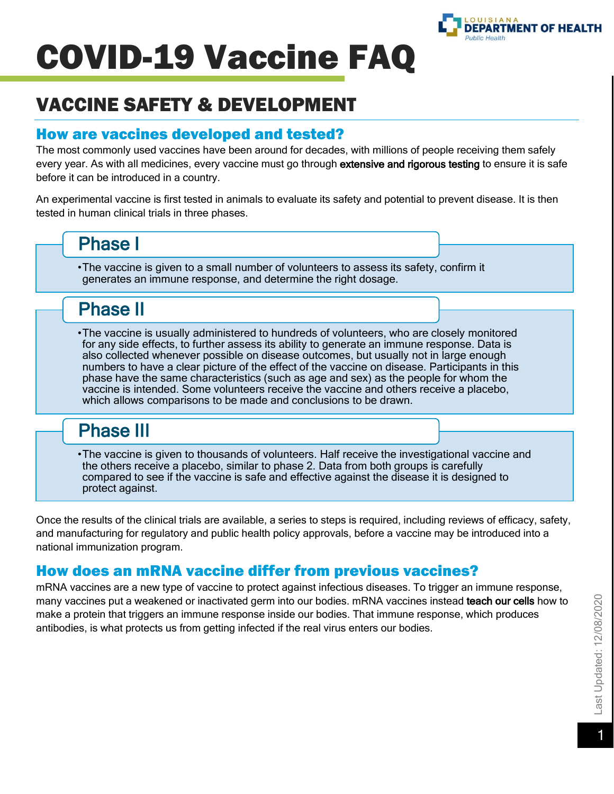

# VACCINE SAFETY & DEVELOPMENT

#### How are vaccines developed and tested?

The most commonly used vaccines have been around for decades, with millions of people receiving them safely every year. As with all medicines, every vaccine must go through extensive and rigorous testing to ensure it is safe before it can be introduced in a country.

An experimental vaccine is first tested in animals to evaluate its safety and potential to prevent disease. It is then tested in human clinical trials in three phases.

## Phase I

•The vaccine is given to a small number of volunteers to assess its safety, confirm it generates an immune response, and determine the right dosage.

# Phase II

•The vaccine is usually administered to hundreds of volunteers, who are closely monitored for any side effects, to further assess its ability to generate an immune response. Data is also collected whenever possible on disease outcomes, but usually not in large enough numbers to have a clear picture of the effect of the vaccine on disease. Participants in this phase have the same characteristics (such as age and sex) as the people for whom the vaccine is intended. Some volunteers receive the vaccine and others receive a placebo, which allows comparisons to be made and conclusions to be drawn.

# Phase III

•The vaccine is given to thousands of volunteers. Half receive the investigational vaccine and the others receive a placebo, similar to phase 2. Data from both groups is carefully compared to see if the vaccine is safe and effective against the disease it is designed to protect against.

Once the results of the clinical trials are available, a series to steps is required, including reviews of efficacy, safety, and manufacturing for regulatory and public health policy approvals, before a vaccine may be introduced into a national immunization program.

## How does an mRNA vaccine differ from previous vaccines?

mRNA vaccines are a new type of vaccine to protect against infectious diseases. To trigger an immune response, many vaccines put a weakened or inactivated germ into our bodies. mRNA vaccines instead teach our cells how to make a protein that triggers an immune response inside our bodies. That immune response, which produces antibodies, is what protects us from getting infected if the real virus enters our bodies.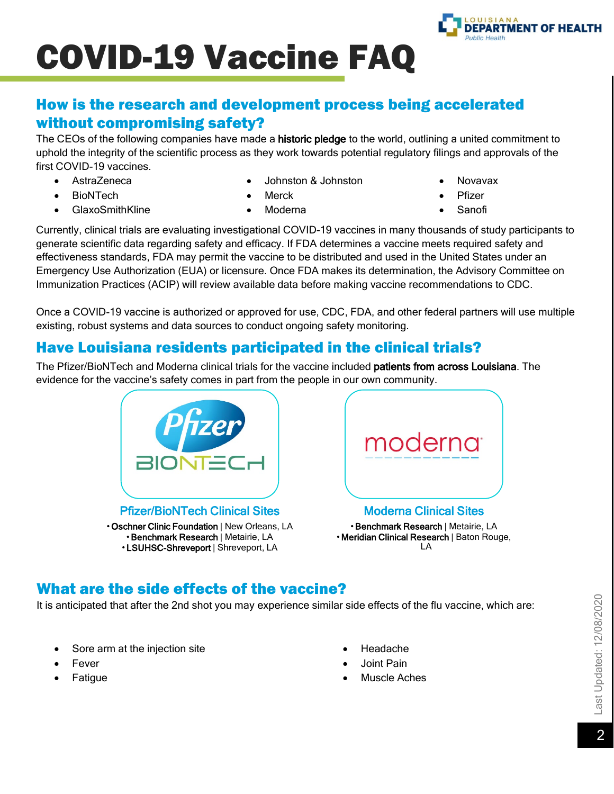

### How is the research and development process being accelerated without compromising safety?

The CEOs of the following companies have made a **historic pledge** to the world, outlining a united commitment to uphold the integrity of the scientific process as they work towards potential regulatory filings and approvals of the first COVID-19 vaccines.

- AstraZeneca
	- BioNTech
- Johnston & Johnston
- Merck

• GlaxoSmithKline

• Moderna

- Novavax
- **Pfizer**
- Sanofi

Currently, clinical trials are evaluating investigational COVID-19 vaccines in many thousands of study participants to generate scientific data regarding safety and efficacy. If FDA determines a vaccine meets required safety and effectiveness standards, FDA may permit the vaccine to be distributed and used in the United States under an Emergency Use Authorization (EUA) or licensure. Once FDA makes its determination, the Advisory Committee on Immunization Practices (ACIP) will review available data before making vaccine recommendations to CDC.

Once a COVID-19 vaccine is authorized or approved for use, CDC, FDA, and other federal partners will use multiple existing, robust systems and data sources to conduct ongoing safety monitoring.

## Have Louisiana residents participated in the clinical trials?

The Pfizer/BioNTech and Moderna clinical trials for the vaccine included patients from across Louisiana. The evidence for the vaccine's safety comes in part from the people in our own community.



Pfizer/BioNTech Clinical Sites • Oschner Clinic Foundation | New Orleans, LA



•Benchmark Research | Metairie, LA • Meridian Clinical Research | Baton Rouge, LA

## What are the side effects of the vaccine?

It is anticipated that after the 2nd shot you may experience similar side effects of the flu vaccine, which are:

- Sore arm at the injection site
- **Fever**
- **Fatigue**
- Headache
- Joint Pain
- Muscle Aches

<sup>•</sup>Benchmark Research | Metairie, LA • LSUHSC-Shreveport | Shreveport, LA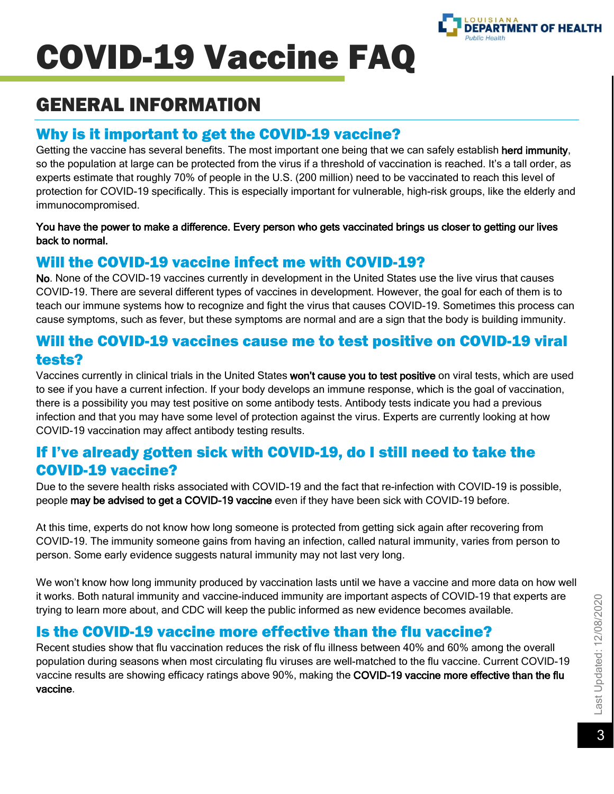

# GENERAL INFORMATION

### Why is it important to get the COVID-19 vaccine?

Getting the vaccine has several benefits. The most important one being that we can safely establish herd immunity, so the population at large can be protected from the virus if a threshold of vaccination is reached. It's a tall order, as experts estimate that roughly 70% of people in the U.S. (200 million) need to be vaccinated to reach this level of protection for COVID-19 specifically. This is especially important for vulnerable, high-risk groups, like the elderly and immunocompromised.

#### You have the power to make a difference. Every person who gets vaccinated brings us closer to getting our lives back to normal.

#### Will the COVID-19 vaccine infect me with COVID-19?

No. None of the COVID-19 vaccines currently in development in the United States use the live virus that causes COVID-19. There are several different types of vaccines in development. However, the goal for each of them is to teach our immune systems how to recognize and fight the virus that causes COVID-19. Sometimes this process can cause symptoms, such as fever, but these symptoms are normal and are a sign that the body is building immunity.

#### Will the COVID-19 vaccines cause me to test positive on COVID-19 viral tests?

Vaccines currently in clinical trials in the United States won't cause you to test positive on viral tests, which are used to see if you have a current infection. If your body develops an immune response, which is the goal of vaccination, there is a possibility you may test positive on some antibody tests. Antibody tests indicate you had a previous infection and that you may have some level of protection against the virus. Experts are currently looking at how COVID-19 vaccination may affect antibody testing results.

#### If I've already gotten sick with COVID-19, do I still need to take the COVID-19 vaccine?

Due to the severe health risks associated with COVID-19 and the fact that re-infection with COVID-19 is possible, people may be advised to get a COVID-19 vaccine even if they have been sick with COVID-19 before.

At this time, experts do not know how long someone is protected from getting sick again after recovering from COVID-19. The immunity someone gains from having an infection, called natural immunity, varies from person to person. Some early evidence suggests natural immunity may not last very long.

We won't know how long immunity produced by vaccination lasts until we have a vaccine and more data on how well it works. Both natural immunity and vaccine-induced immunity are important aspects of COVID-19 that experts are trying to learn more about, and CDC will keep the public informed as new evidence becomes available.

### Is the COVID-19 vaccine more effective than the flu vaccine?

Recent studies show that flu vaccination reduces the risk of flu illness between 40% and 60% among the overall population during seasons when most circulating flu viruses are well-matched to the flu vaccine. Current COVID-19 vaccine results are showing efficacy ratings above 90%, making the COVID-19 vaccine more effective than the flu vaccine.